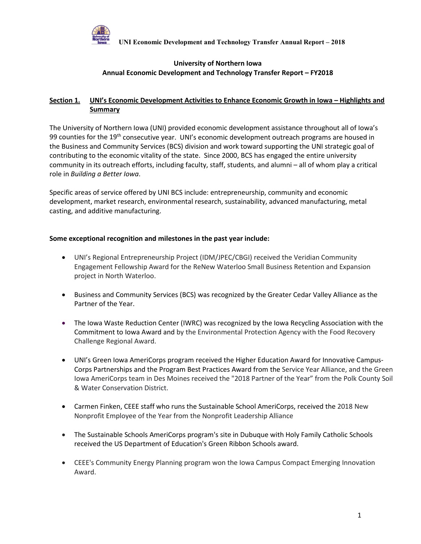

### **University of Northern Iowa Annual Economic Development and Technology Transfer Report – FY2018**

# **Section 1. UNI's Economic Development Activities to Enhance Economic Growth in Iowa – Highlights and Summary**

The University of Northern Iowa (UNI) provided economic development assistance throughout all of Iowa's 99 counties for the 19<sup>th</sup> consecutive year. UNI's economic development outreach programs are housed in the Business and Community Services (BCS) division and work toward supporting the UNI strategic goal of contributing to the economic vitality of the state. Since 2000, BCS has engaged the entire university community in its outreach efforts, including faculty, staff, students, and alumni – all of whom play a critical role in *Building a Better Iowa*.

Specific areas of service offered by UNI BCS include: entrepreneurship, community and economic development, market research, environmental research, sustainability, advanced manufacturing, metal casting, and additive manufacturing.

#### **Some exceptional recognition and milestones in the past year include:**

- UNI's Regional Entrepreneurship Project (IDM/JPEC/CBGI) received the Veridian Community Engagement Fellowship Award for the ReNew Waterloo Small Business Retention and Expansion project in North Waterloo.
- Business and Community Services (BCS) was recognized by the Greater Cedar Valley Alliance as the Partner of the Year.
- The Iowa Waste Reduction Center (IWRC) was recognized by the Iowa Recycling Association with the Commitment to Iowa Award and by the Environmental Protection Agency with the Food Recovery Challenge Regional Award.
- UNI's Green Iowa AmeriCorps program received the Higher Education Award for Innovative Campus-Corps Partnerships and the Program Best Practices Award from the Service Year Alliance, and the Green Iowa AmeriCorps team in Des Moines received the "2018 Partner of the Year" from the Polk County Soil & Water Conservation District.
- Carmen Finken, CEEE staff who runs the Sustainable School AmeriCorps, received the 2018 New Nonprofit Employee of the Year from the Nonprofit Leadership Alliance
- The Sustainable Schools AmeriCorps program's site in Dubuque with Holy Family Catholic Schools received the US Department of Education's Green Ribbon Schools award.
- CEEE's Community Energy Planning program won the Iowa Campus Compact Emerging Innovation Award.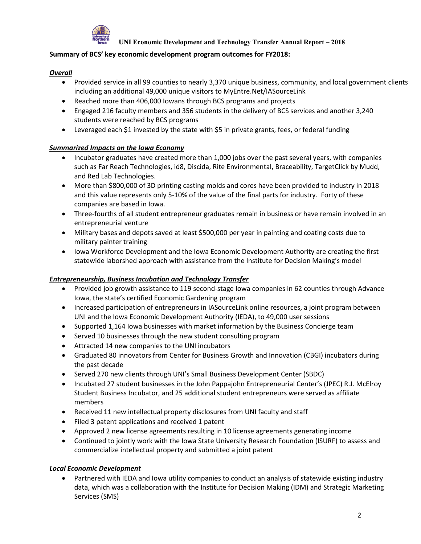

### **Summary of BCS' key economic development program outcomes for FY2018:**

### *Overall*

- Provided service in all 99 counties to nearly 3,370 unique business, community, and local government clients including an additional 49,000 unique visitors to MyEntre.Net/IASourceLink
- Reached more than 406,000 Iowans through BCS programs and projects
- Engaged 216 faculty members and 356 students in the delivery of BCS services and another 3,240 students were reached by BCS programs
- Leveraged each \$1 invested by the state with \$5 in private grants, fees, or federal funding

### *Summarized Impacts on the Iowa Economy*

- Incubator graduates have created more than 1,000 jobs over the past several years, with companies such as Far Reach Technologies, id8, Discida, Rite Environmental, Braceability, TargetClick by Mudd, and Red Lab Technologies.
- More than \$800,000 of 3D printing casting molds and cores have been provided to industry in 2018 and this value represents only 5-10% of the value of the final parts for industry. Forty of these companies are based in Iowa.
- Three-fourths of all student entrepreneur graduates remain in business or have remain involved in an entrepreneurial venture
- Military bases and depots saved at least \$500,000 per year in painting and coating costs due to military painter training
- Iowa Workforce Development and the Iowa Economic Development Authority are creating the first statewide laborshed approach with assistance from the Institute for Decision Making's model

# *Entrepreneurship, Business Incubation and Technology Transfer*

- Provided job growth assistance to 119 second-stage Iowa companies in 62 counties through Advance Iowa, the state's certified Economic Gardening program
- Increased participation of entrepreneurs in IASourceLink online resources, a joint program between UNI and the Iowa Economic Development Authority (IEDA), to 49,000 user sessions
- Supported 1,164 Iowa businesses with market information by the Business Concierge team
- Served 10 businesses through the new student consulting program
- Attracted 14 new companies to the UNI incubators
- Graduated 80 innovators from Center for Business Growth and Innovation (CBGI) incubators during the past decade
- Served 270 new clients through UNI's Small Business Development Center (SBDC)
- Incubated 27 student businesses in the John Pappajohn Entrepreneurial Center's (JPEC) R.J. McElroy Student Business Incubator, and 25 additional student entrepreneurs were served as affiliate members
- Received 11 new intellectual property disclosures from UNI faculty and staff
- Filed 3 patent applications and received 1 patent
- Approved 2 new license agreements resulting in 10 license agreements generating income
- Continued to jointly work with the Iowa State University Research Foundation (ISURF) to assess and commercialize intellectual property and submitted a joint patent

# *Local Economic Development*

• Partnered with IEDA and Iowa utility companies to conduct an analysis of statewide existing industry data, which was a collaboration with the Institute for Decision Making (IDM) and Strategic Marketing Services (SMS)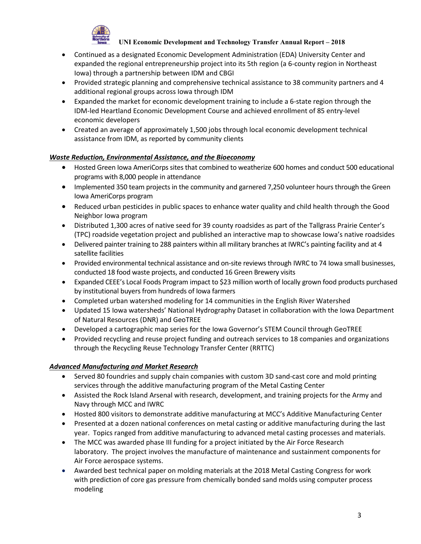

- Continued as a designated Economic Development Administration (EDA) University Center and expanded the regional entrepreneurship project into its 5th region (a 6-county region in Northeast Iowa) through a partnership between IDM and CBGI
- Provided strategic planning and comprehensive technical assistance to 38 community partners and 4 additional regional groups across Iowa through IDM
- Expanded the market for economic development training to include a 6-state region through the IDM-led Heartland Economic Development Course and achieved enrollment of 85 entry-level economic developers
- Created an average of approximately 1,500 jobs through local economic development technical assistance from IDM, as reported by community clients

# *Waste Reduction, Environmental Assistance, and the Bioeconomy*

- Hosted Green Iowa AmeriCorps sites that combined to weatherize 600 homes and conduct 500 educational programs with 8,000 people in attendance
- Implemented 350 team projects in the community and garnered 7,250 volunteer hours through the Green Iowa AmeriCorps program
- Reduced urban pesticides in public spaces to enhance water quality and child health through the Good Neighbor Iowa program
- Distributed 1,300 acres of native seed for 39 county roadsides as part of the Tallgrass Prairie Center's (TPC) roadside vegetation project and published an interactive map to showcase Iowa's native roadsides
- Delivered painter training to 288 painters within all military branches at IWRC's painting facility and at 4 satellite facilities
- Provided environmental technical assistance and on-site reviews through IWRC to 74 Iowa small businesses, conducted 18 food waste projects, and conducted 16 Green Brewery visits
- Expanded CEEE's Local Foods Program impact to \$23 million worth of locally grown food products purchased by institutional buyers from hundreds of Iowa farmers
- Completed urban watershed modeling for 14 communities in the English River Watershed
- Updated 15 Iowa watersheds' National Hydrography Dataset in collaboration with the Iowa Department of Natural Resources (DNR) and GeoTREE
- Developed a cartographic map series for the Iowa Governor's STEM Council through GeoTREE
- Provided recycling and reuse project funding and outreach services to 18 companies and organizations through the Recycling Reuse Technology Transfer Center (RRTTC)

# *Advanced Manufacturing and Market Research*

- Served 80 foundries and supply chain companies with custom 3D sand-cast core and mold printing services through the additive manufacturing program of the Metal Casting Center
- Assisted the Rock Island Arsenal with research, development, and training projects for the Army and Navy through MCC and IWRC
- Hosted 800 visitors to demonstrate additive manufacturing at MCC's Additive Manufacturing Center
- Presented at a dozen national conferences on metal casting or additive manufacturing during the last year. Topics ranged from additive manufacturing to advanced metal casting processes and materials.
- The MCC was awarded phase III funding for a project initiated by the Air Force Research laboratory. The project involves the manufacture of maintenance and sustainment components for Air Force aerospace systems.
- Awarded best technical paper on molding materials at the 2018 Metal Casting Congress for work with prediction of core gas pressure from chemically bonded sand molds using computer process modeling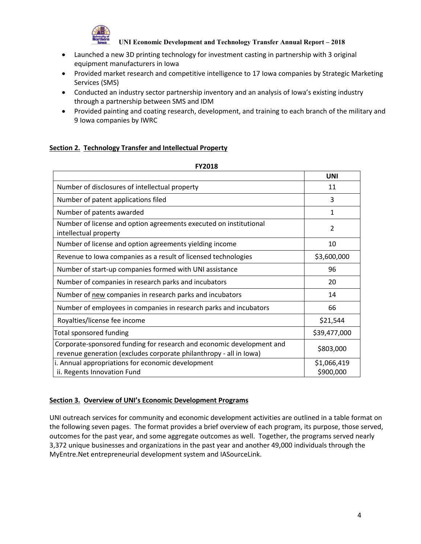

- Launched a new 3D printing technology for investment casting in partnership with 3 original equipment manufacturers in Iowa
- Provided market research and competitive intelligence to 17 Iowa companies by Strategic Marketing Services (SMS)
- Conducted an industry sector partnership inventory and an analysis of Iowa's existing industry through a partnership between SMS and IDM
- Provided painting and coating research, development, and training to each branch of the military and 9 Iowa companies by IWRC

# **Section 2. Technology Transfer and Intellectual Property**

|                                                                                                                                             | UNI                      |
|---------------------------------------------------------------------------------------------------------------------------------------------|--------------------------|
| Number of disclosures of intellectual property                                                                                              | 11                       |
| Number of patent applications filed                                                                                                         | 3                        |
| Number of patents awarded                                                                                                                   | 1                        |
| Number of license and option agreements executed on institutional<br>intellectual property                                                  | $\overline{2}$           |
| Number of license and option agreements yielding income                                                                                     | 10                       |
| Revenue to Iowa companies as a result of licensed technologies                                                                              | \$3,600,000              |
| Number of start-up companies formed with UNI assistance                                                                                     | 96                       |
| Number of companies in research parks and incubators                                                                                        | 20                       |
| Number of new companies in research parks and incubators                                                                                    | 14                       |
| Number of employees in companies in research parks and incubators                                                                           | 66                       |
| Royalties/license fee income                                                                                                                | \$21,544                 |
| <b>Total sponsored funding</b>                                                                                                              | \$39,477,000             |
| Corporate-sponsored funding for research and economic development and<br>revenue generation (excludes corporate philanthropy - all in Iowa) | \$803,000                |
| i. Annual appropriations for economic development<br>ii. Regents Innovation Fund                                                            | \$1,066,419<br>\$900,000 |

# **FY2018**

# **Section 3. Overview of UNI's Economic Development Programs**

UNI outreach services for community and economic development activities are outlined in a table format on the following seven pages. The format provides a brief overview of each program, its purpose, those served, outcomes for the past year, and some aggregate outcomes as well. Together, the programs served nearly 3,372 unique businesses and organizations in the past year and another 49,000 individuals through the MyEntre.Net entrepreneurial development system and IASourceLink.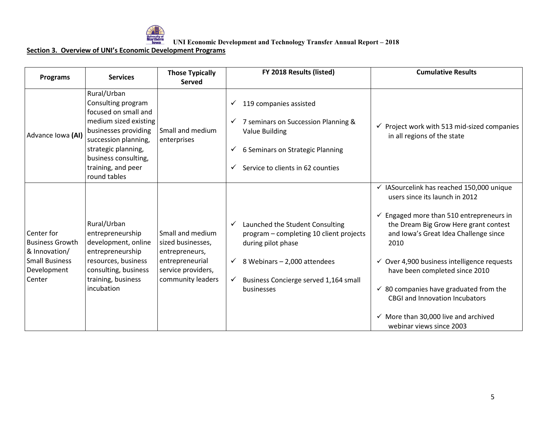

*UNI***<br>National Property of</del><br>Note the UNI Economic Development and Technology Transfer Annual Report – 2018** 

| <b>Programs</b>                                                                                         | <b>Services</b>                                                                                                                                                                                                         | <b>Those Typically</b><br><b>Served</b>                                                                               | FY 2018 Results (listed)                                                                                                                                                                                          | <b>Cumulative Results</b>                                                                                                                                                                                                                                                                                                                                                                                                                                                                   |
|---------------------------------------------------------------------------------------------------------|-------------------------------------------------------------------------------------------------------------------------------------------------------------------------------------------------------------------------|-----------------------------------------------------------------------------------------------------------------------|-------------------------------------------------------------------------------------------------------------------------------------------------------------------------------------------------------------------|---------------------------------------------------------------------------------------------------------------------------------------------------------------------------------------------------------------------------------------------------------------------------------------------------------------------------------------------------------------------------------------------------------------------------------------------------------------------------------------------|
| Advance Iowa (AI)                                                                                       | Rural/Urban<br>Consulting program<br>focused on small and<br>medium sized existing<br>businesses providing<br>succession planning,<br>strategic planning,<br>business consulting,<br>training, and peer<br>round tables | Small and medium<br>enterprises                                                                                       | 119 companies assisted<br>✓<br>7 seminars on Succession Planning &<br>✓<br>Value Building<br>6 Seminars on Strategic Planning<br>✓<br>Service to clients in 62 counties<br>✓                                      | Project work with 513 mid-sized companies<br>in all regions of the state                                                                                                                                                                                                                                                                                                                                                                                                                    |
| Center for<br><b>Business Growth</b><br>& Innovation/<br><b>Small Business</b><br>Development<br>Center | Rural/Urban<br>entrepreneurship<br>development, online<br>entrepreneurship<br>resources, business<br>consulting, business<br>training, business<br>incubation                                                           | Small and medium<br>sized businesses,<br>entrepreneurs,<br>entrepreneurial<br>service providers,<br>community leaders | Launched the Student Consulting<br>✓<br>program - completing 10 client projects<br>during pilot phase<br>8 Webinars - 2,000 attendees<br>$\checkmark$<br>Business Concierge served 1,164 small<br>✓<br>businesses | $\checkmark$ IASourcelink has reached 150,000 unique<br>users since its launch in 2012<br>Engaged more than 510 entrepreneurs in<br>✓<br>the Dream Big Grow Here grant contest<br>and Iowa's Great Idea Challenge since<br>2010<br>$\checkmark$ Over 4,900 business intelligence requests<br>have been completed since 2010<br>$\checkmark$ 80 companies have graduated from the<br><b>CBGI and Innovation Incubators</b><br>More than 30,000 live and archived<br>webinar views since 2003 |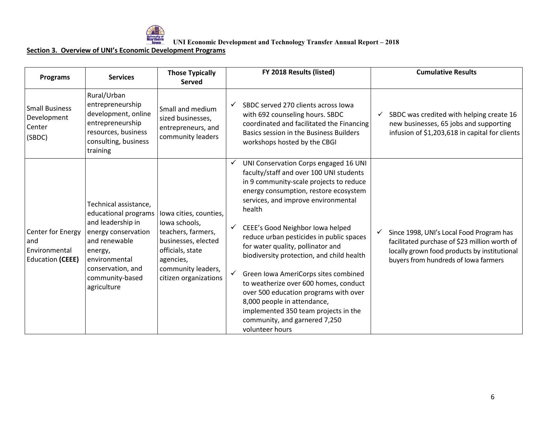

*Calif***able Constanting Constanting Constanting Constanting Constanting Constanting Constanting Constanting Constanting Constanting Constanting Constanting Constanting Constanting Const<br>Nothing Constanting Constanting Con** 

| <b>Programs</b>                                               | <b>Services</b>                                                                                                                                                                               | <b>Those Typically</b><br><b>Served</b>                                                                                                                              | FY 2018 Results (listed)                                                                                                                                                                                                                                                                                                                                                                                                                                                                                                                                                                                                                                               | <b>Cumulative Results</b>                                                                                                                                                         |
|---------------------------------------------------------------|-----------------------------------------------------------------------------------------------------------------------------------------------------------------------------------------------|----------------------------------------------------------------------------------------------------------------------------------------------------------------------|------------------------------------------------------------------------------------------------------------------------------------------------------------------------------------------------------------------------------------------------------------------------------------------------------------------------------------------------------------------------------------------------------------------------------------------------------------------------------------------------------------------------------------------------------------------------------------------------------------------------------------------------------------------------|-----------------------------------------------------------------------------------------------------------------------------------------------------------------------------------|
| <b>Small Business</b><br>Development<br>Center<br>(SBDC)      | Rural/Urban<br>entrepreneurship<br>development, online<br>entrepreneurship<br>resources, business<br>consulting, business<br>training                                                         | Small and medium<br>sized businesses,<br>entrepreneurs, and<br>community leaders                                                                                     | SBDC served 270 clients across lowa<br>✓<br>with 692 counseling hours. SBDC<br>coordinated and facilitated the Financing<br>Basics session in the Business Builders<br>workshops hosted by the CBGI                                                                                                                                                                                                                                                                                                                                                                                                                                                                    | SBDC was credited with helping create 16<br>new businesses, 65 jobs and supporting<br>infusion of \$1,203,618 in capital for clients                                              |
| Center for Energy<br>and<br>Environmental<br>Education (CEEE) | Technical assistance,<br>educational programs<br>and leadership in<br>energy conservation<br>and renewable<br>energy,<br>environmental<br>conservation, and<br>community-based<br>agriculture | lowa cities, counties,<br>lowa schools,<br>teachers, farmers,<br>businesses, elected<br>officials, state<br>agencies,<br>community leaders,<br>citizen organizations | UNI Conservation Corps engaged 16 UNI<br>✓<br>faculty/staff and over 100 UNI students<br>in 9 community-scale projects to reduce<br>energy consumption, restore ecosystem<br>services, and improve environmental<br>health<br>CEEE's Good Neighbor Iowa helped<br>✓<br>reduce urban pesticides in public spaces<br>for water quality, pollinator and<br>biodiversity protection, and child health<br>Green Iowa AmeriCorps sites combined<br>$\checkmark$<br>to weatherize over 600 homes, conduct<br>over 500 education programs with over<br>8,000 people in attendance,<br>implemented 350 team projects in the<br>community, and garnered 7,250<br>volunteer hours | Since 1998, UNI's Local Food Program has<br>facilitated purchase of \$23 million worth of<br>locally grown food products by institutional<br>buyers from hundreds of lowa farmers |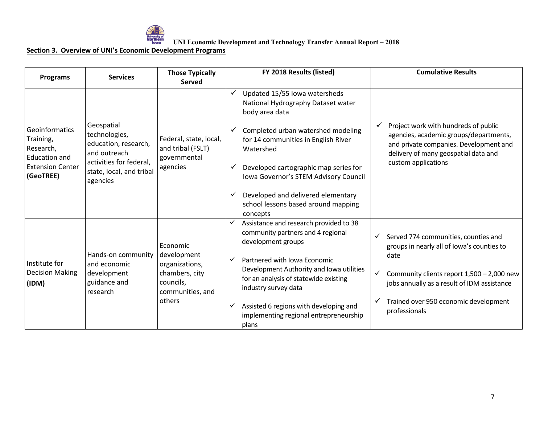

UNI Economic Development and Technology Transfer Annual Report – 2018<br>Worthern<br>Toward UNI Economic Development and Technology Transfer Annual Report – 2018

| <b>Programs</b>                                                                                          | <b>Services</b>                                                                                                                        | <b>Those Typically</b><br><b>Served</b>                                                                | FY 2018 Results (listed)                                                                                                                                                                                                                                                                                                                                                       | <b>Cumulative Results</b>                                                                                                                                                                                                                                                   |
|----------------------------------------------------------------------------------------------------------|----------------------------------------------------------------------------------------------------------------------------------------|--------------------------------------------------------------------------------------------------------|--------------------------------------------------------------------------------------------------------------------------------------------------------------------------------------------------------------------------------------------------------------------------------------------------------------------------------------------------------------------------------|-----------------------------------------------------------------------------------------------------------------------------------------------------------------------------------------------------------------------------------------------------------------------------|
| Geoinformatics<br>Training,<br>Research,<br><b>Education and</b><br><b>Extension Center</b><br>(GeoTREE) | Geospatial<br>technologies,<br>education, research,<br>and outreach<br>activities for federal,<br>state, local, and tribal<br>agencies | Federal, state, local,<br>and tribal (FSLT)<br>governmental<br>agencies                                | Updated 15/55 Iowa watersheds<br>✓<br>National Hydrography Dataset water<br>body area data<br>Completed urban watershed modeling<br>✓<br>for 14 communities in English River<br>Watershed<br>Developed cartographic map series for<br>✓<br>Iowa Governor's STEM Advisory Council<br>Developed and delivered elementary<br>✓<br>school lessons based around mapping<br>concepts | Project work with hundreds of public<br>agencies, academic groups/departments,<br>and private companies. Development and<br>delivery of many geospatial data and<br>custom applications                                                                                     |
| Institute for<br><b>Decision Making</b><br>(IDM)                                                         | Hands-on community<br>and economic<br>development<br>guidance and<br>research                                                          | Economic<br>development<br>organizations,<br>chambers, city<br>councils,<br>communities, and<br>others | Assistance and research provided to 38<br>community partners and 4 regional<br>development groups<br>Partnered with Iowa Economic<br>Development Authority and Iowa utilities<br>for an analysis of statewide existing<br>industry survey data<br>Assisted 6 regions with developing and<br>implementing regional entrepreneurship<br>plans                                    | Served 774 communities, counties and<br>✓<br>groups in nearly all of lowa's counties to<br>date<br>Community clients report 1,500 - 2,000 new<br>$\checkmark$<br>jobs annually as a result of IDM assistance<br>Trained over 950 economic development<br>✓<br>professionals |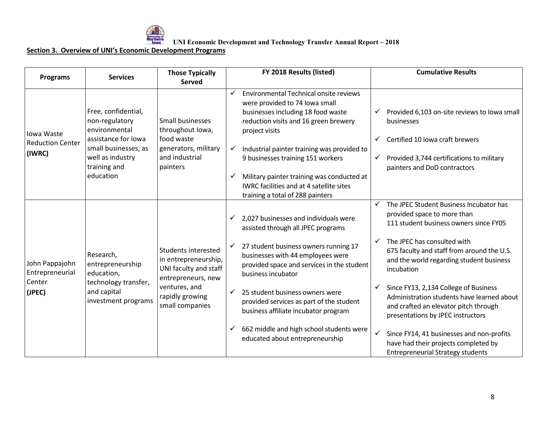

*UNI***<br>Note that Property of**<br>Note the UNI Economic Development and Technology Transfer Annual Report – 2018

| <b>Programs</b>                                       | <b>Services</b>                                                                                                                                        | <b>Those Typically</b>                                                                                                                            | FY 2018 Results (listed)                                                                                                                                                                                                                                                                                                                                                                                                            | <b>Cumulative Results</b>                                                                                                                                                                                                                                                                                                                                                                                                                                                                                                                                                                               |
|-------------------------------------------------------|--------------------------------------------------------------------------------------------------------------------------------------------------------|---------------------------------------------------------------------------------------------------------------------------------------------------|-------------------------------------------------------------------------------------------------------------------------------------------------------------------------------------------------------------------------------------------------------------------------------------------------------------------------------------------------------------------------------------------------------------------------------------|---------------------------------------------------------------------------------------------------------------------------------------------------------------------------------------------------------------------------------------------------------------------------------------------------------------------------------------------------------------------------------------------------------------------------------------------------------------------------------------------------------------------------------------------------------------------------------------------------------|
|                                                       |                                                                                                                                                        | Served                                                                                                                                            |                                                                                                                                                                                                                                                                                                                                                                                                                                     |                                                                                                                                                                                                                                                                                                                                                                                                                                                                                                                                                                                                         |
| Iowa Waste<br><b>Reduction Center</b><br>(IWRC)       | Free, confidential,<br>non-regulatory<br>environmental<br>assistance for Iowa<br>small businesses, as<br>well as industry<br>training and<br>education | Small businesses<br>throughout lowa,<br>food waste<br>generators, military<br>and industrial<br>painters                                          | <b>Environmental Technical onsite reviews</b><br>✓<br>were provided to 74 lowa small<br>businesses including 18 food waste<br>reduction visits and 16 green brewery<br>project visits<br>Industrial painter training was provided to<br>✓<br>9 businesses training 151 workers<br>Military painter training was conducted at<br><b>IWRC facilities and at 4 satellite sites</b><br>training a total of 288 painters                 | Provided 6,103 on-site reviews to lowa small<br>businesses<br>Certified 10 Iowa craft brewers<br>✓<br>Provided 3,744 certifications to military<br>$\checkmark$<br>painters and DoD contractors                                                                                                                                                                                                                                                                                                                                                                                                         |
| John Pappajohn<br>Entrepreneurial<br>Center<br>(JPEC) | Research,<br>entrepreneurship<br>education,<br>technology transfer,<br>and capital<br>investment programs                                              | Students interested<br>in entrepreneurship,<br>UNI faculty and staff<br>entrepreneurs, new<br>ventures, and<br>rapidly growing<br>small companies | 2,027 businesses and individuals were<br>assisted through all JPEC programs<br>27 student business owners running 17<br>businesses with 44 employees were<br>provided space and services in the student<br>business incubator<br>25 student business owners were<br>provided services as part of the student<br>business affiliate incubator program<br>662 middle and high school students were<br>educated about entrepreneurship | The JPEC Student Business Incubator has<br>$\checkmark$<br>provided space to more than<br>111 student business owners since FY05<br>The JPEC has consulted with<br>✓<br>675 faculty and staff from around the U.S.<br>and the world regarding student business<br>incubation<br>Since FY13, 2,134 College of Business<br>✓<br>Administration students have learned about<br>and crafted an elevator pitch through<br>presentations by JPEC instructors<br>$\checkmark$<br>Since FY14, 41 businesses and non-profits<br>have had their projects completed by<br><b>Entrepreneurial Strategy students</b> |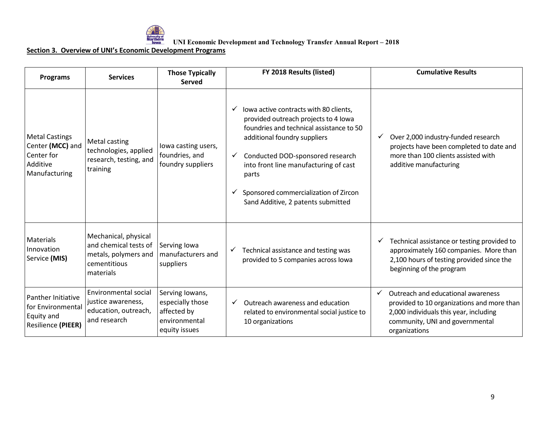

| <b>Programs</b>                                                                      | <b>Services</b>                                                                                    | <b>Those Typically</b><br><b>Served</b>                                              | FY 2018 Results (listed)                                                                                                                                                                                                                                                                                                                                                        | <b>Cumulative Results</b>                                                                                                                                                           |
|--------------------------------------------------------------------------------------|----------------------------------------------------------------------------------------------------|--------------------------------------------------------------------------------------|---------------------------------------------------------------------------------------------------------------------------------------------------------------------------------------------------------------------------------------------------------------------------------------------------------------------------------------------------------------------------------|-------------------------------------------------------------------------------------------------------------------------------------------------------------------------------------|
| <b>Metal Castings</b><br>Center (MCC) and<br>Center for<br>Additive<br>Manufacturing | Metal casting<br>technologies, applied<br>research, testing, and<br>training                       | lowa casting users,<br>foundries, and<br>foundry suppliers                           | lowa active contracts with 80 clients,<br>$\checkmark$<br>provided outreach projects to 4 lowa<br>foundries and technical assistance to 50<br>additional foundry suppliers<br>Conducted DOD-sponsored research<br>$\checkmark$<br>into front line manufacturing of cast<br>parts<br>Sponsored commercialization of Zircon<br>$\checkmark$<br>Sand Additive, 2 patents submitted | Over 2,000 industry-funded research<br>✓<br>projects have been completed to date and<br>more than 100 clients assisted with<br>additive manufacturing                               |
| <b>Materials</b><br>Innovation<br>Service (MIS)                                      | Mechanical, physical<br>and chemical tests of<br>metals, polymers and<br>cementitious<br>materials | Serving Iowa<br>manufacturers and<br>suppliers                                       | Technical assistance and testing was<br>✓<br>provided to 5 companies across lowa                                                                                                                                                                                                                                                                                                | Technical assistance or testing provided to<br>$\checkmark$<br>approximately 160 companies. More than<br>2,100 hours of testing provided since the<br>beginning of the program      |
| Panther Initiative<br>for Environmental<br>Equity and<br>Resilience (PIEER)          | Environmental social<br>justice awareness,<br>education, outreach,<br>and research                 | Serving Iowans,<br>especially those<br>affected by<br>environmental<br>equity issues | Outreach awareness and education<br>$\checkmark$<br>related to environmental social justice to<br>10 organizations                                                                                                                                                                                                                                                              | Outreach and educational awareness<br>✓<br>provided to 10 organizations and more than<br>2,000 individuals this year, including<br>community, UNI and governmental<br>organizations |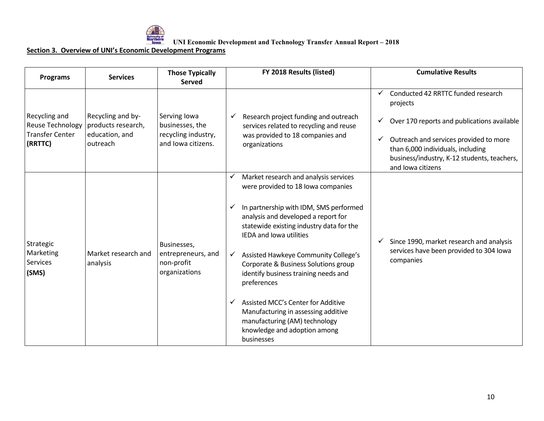

 **WERENT**<br>UNITED TO UNIVERSITY OF DEVELOPMENT AND TRINGUIST PARAGEMENT ANNUAL Report – 2018<br><u>Lowa UNI Economic Development and Technology Transfer Annual Report – 2018</u>

| <b>Programs</b>                                                               | <b>Services</b>                                                       | <b>Those Typically</b><br><b>Served</b>                                      | FY 2018 Results (listed)                                                                                                                                                                                                                                                                                                                                                                                                                                                                                                                                          | <b>Cumulative Results</b>                                                                                                                                                                                                                                       |
|-------------------------------------------------------------------------------|-----------------------------------------------------------------------|------------------------------------------------------------------------------|-------------------------------------------------------------------------------------------------------------------------------------------------------------------------------------------------------------------------------------------------------------------------------------------------------------------------------------------------------------------------------------------------------------------------------------------------------------------------------------------------------------------------------------------------------------------|-----------------------------------------------------------------------------------------------------------------------------------------------------------------------------------------------------------------------------------------------------------------|
| Recycling and<br><b>Reuse Technology</b><br><b>Transfer Center</b><br>(RRTTC) | Recycling and by-<br>products research,<br>education, and<br>outreach | Serving lowa<br>businesses, the<br>recycling industry,<br>and Iowa citizens. | Research project funding and outreach<br>services related to recycling and reuse<br>was provided to 18 companies and<br>organizations                                                                                                                                                                                                                                                                                                                                                                                                                             | Conducted 42 RRTTC funded research<br>✓<br>projects<br>Over 170 reports and publications available<br>✓<br>Outreach and services provided to more<br>✓<br>than 6,000 individuals, including<br>business/industry, K-12 students, teachers,<br>and Iowa citizens |
| Strategic<br>Marketing<br><b>Services</b><br>(SMS)                            | Market research and<br>analysis                                       | Businesses,<br>entrepreneurs, and<br>non-profit<br>organizations             | Market research and analysis services<br>✓<br>were provided to 18 lowa companies<br>In partnership with IDM, SMS performed<br>✓<br>analysis and developed a report for<br>statewide existing industry data for the<br><b>IEDA and lowa utilities</b><br>Assisted Hawkeye Community College's<br>✓<br>Corporate & Business Solutions group<br>identify business training needs and<br>preferences<br>Assisted MCC's Center for Additive<br>✓<br>Manufacturing in assessing additive<br>manufacturing (AM) technology<br>knowledge and adoption among<br>businesses | Since 1990, market research and analysis<br>✓<br>services have been provided to 304 lowa<br>companies                                                                                                                                                           |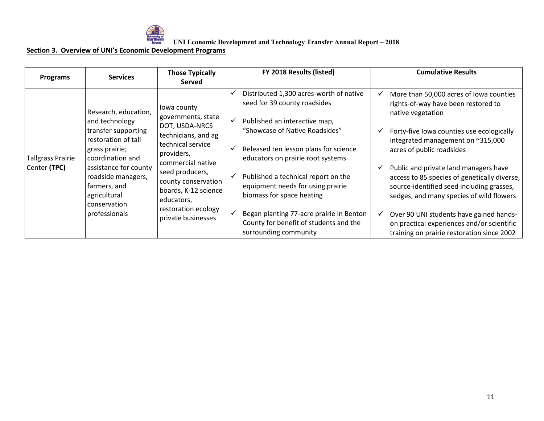

| Programs                                                                                                                                                                                                                                                                               | <b>Services</b>                                                                               | <b>Those Typically</b><br><b>Served</b>                                                                      | FY 2018 Results (listed)                                                                                                                                                            | <b>Cumulative Results</b>                                                                                                                |                                                                                                          |
|----------------------------------------------------------------------------------------------------------------------------------------------------------------------------------------------------------------------------------------------------------------------------------------|-----------------------------------------------------------------------------------------------|--------------------------------------------------------------------------------------------------------------|-------------------------------------------------------------------------------------------------------------------------------------------------------------------------------------|------------------------------------------------------------------------------------------------------------------------------------------|----------------------------------------------------------------------------------------------------------|
| Research, education,<br>and technology<br>transfer supporting<br>restoration of tall<br>grass prairie;<br><b>Tallgrass Prairie</b><br>coordination and<br>Center (TPC)<br>assistance for county<br>roadside managers,<br>farmers, and<br>agricultural<br>conservation<br>professionals |                                                                                               | lowa county<br>governments, state                                                                            |                                                                                                                                                                                     | Distributed 1,300 acres-worth of native<br>seed for 39 county roadsides<br>✓<br>Published an interactive map,                            | More than 50,000 acres of Iowa counties<br>✓<br>rights-of-way have been restored to<br>native vegetation |
|                                                                                                                                                                                                                                                                                        | DOT, USDA-NRCS<br>technicians, and ag<br>technical service<br>providers,<br>commercial native | "Showcase of Native Roadsides"<br>Released ten lesson plans for science<br>educators on prairie root systems | Forty-five lowa counties use ecologically<br>✓<br>integrated management on ~315,000<br>acres of public roadsides                                                                    |                                                                                                                                          |                                                                                                          |
|                                                                                                                                                                                                                                                                                        | seed producers,<br>county conservation<br>boards, K-12 science<br>educators,                  | Published a technical report on the<br>equipment needs for using prairie<br>biomass for space heating        | Public and private land managers have<br>✔<br>access to 85 species of genetically diverse,<br>source-identified seed including grasses,<br>sedges, and many species of wild flowers |                                                                                                                                          |                                                                                                          |
|                                                                                                                                                                                                                                                                                        |                                                                                               | restoration ecology<br>private businesses                                                                    | Began planting 77-acre prairie in Benton<br>County for benefit of students and the<br>surrounding community                                                                         | Over 90 UNI students have gained hands-<br>✓<br>on practical experiences and/or scientific<br>training on prairie restoration since 2002 |                                                                                                          |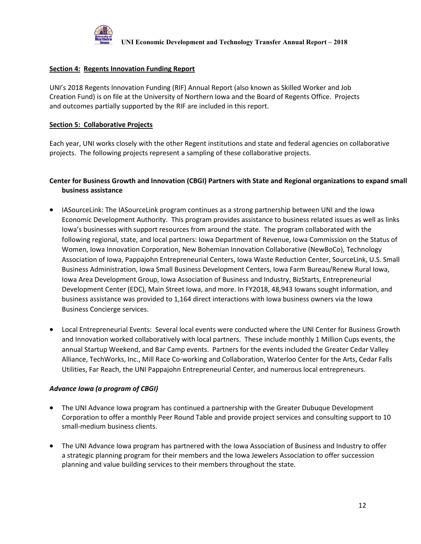

### **Section 4: Regents Innovation Funding Report**

UNI's 2018 Regents Innovation Funding (RIF) Annual Report (also known as Skilled Worker and Job Creation Fund) is on file at the University of Northern Iowa and the Board of Regents Office. Projects and outcomes partially supported by the RIF are included in this report.

### **Section 5: Collaborative Projects**

Each year, UNI works closely with the other Regent institutions and state and federal agencies on collaborative projects. The following projects represent a sampling of these collaborative projects.

# **Center for Business Growth and Innovation (CBGI) Partners with State and Regional organizations to expand small business assistance**

- IASourceLink: The IASourceLink program continues as a strong partnership between UNI and the Iowa Economic Development Authority. This program provides assistance to business related issues as well as links Iowa's businesses with support resources from around the state. The program collaborated with the following regional, state, and local partners: Iowa Department of Revenue, Iowa Commission on the Status of Women, Iowa Innovation Corporation, New Bohemian Innovation Collaborative (NewBoCo), Technology Association of Iowa, Pappajohn Entrepreneurial Centers, Iowa Waste Reduction Center, SourceLink, U.S. Small Business Administration, Iowa Small Business Development Centers, Iowa Farm Bureau/Renew Rural Iowa, Iowa Area Development Group, Iowa Association of Business and Industry, BizStarts, Entrepreneurial Development Center (EDC), Main Street Iowa, and more. In FY2018, 48,943 Iowans sought information, and business assistance was provided to 1,164 direct interactions with Iowa business owners via the Iowa Business Concierge services.
- Local Entrepreneurial Events: Several local events were conducted where the UNI Center for Business Growth and Innovation worked collaboratively with local partners. These include monthly 1 Million Cups events, the annual Startup Weekend, and Bar Camp events. Partners for the events included the Greater Cedar Valley Alliance, TechWorks, Inc., Mill Race Co-working and Collaboration, Waterloo Center for the Arts, Cedar Falls Utilities, Far Reach, the UNI Pappajohn Entrepreneurial Center, and numerous local entrepreneurs.

#### *Advance Iowa (a program of CBGI)*

- The UNI Advance Iowa program has continued a partnership with the Greater Dubuque Development Corporation to offer a monthly Peer Round Table and provide project services and consulting support to 10 small-medium business clients.
- The UNI Advance Iowa program has partnered with the Iowa Association of Business and Industry to offer a strategic planning program for their members and the Iowa Jewelers Association to offer succession planning and value building services to their members throughout the state.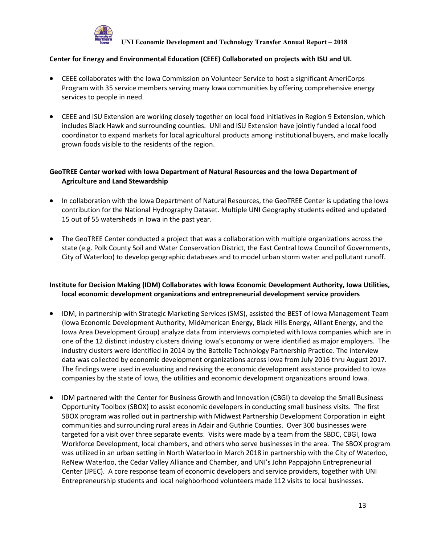

#### **Center for Energy and Environmental Education (CEEE) Collaborated on projects with ISU and UI.**

- CEEE collaborates with the Iowa Commission on Volunteer Service to host a significant AmeriCorps Program with 35 service members serving many Iowa communities by offering comprehensive energy services to people in need.
- CEEE and ISU Extension are working closely together on local food initiatives in Region 9 Extension, which includes Black Hawk and surrounding counties. UNI and ISU Extension have jointly funded a local food coordinator to expand markets for local agricultural products among institutional buyers, and make locally grown foods visible to the residents of the region.

### **GeoTREE Center worked with Iowa Department of Natural Resources and the Iowa Department of Agriculture and Land Stewardship**

- In collaboration with the Iowa Department of Natural Resources, the GeoTREE Center is updating the Iowa contribution for the National Hydrography Dataset. Multiple UNI Geography students edited and updated 15 out of 55 watersheds in Iowa in the past year.
- The GeoTREE Center conducted a project that was a collaboration with multiple organizations across the state (e.g. Polk County Soil and Water Conservation District, the East Central Iowa Council of Governments, City of Waterloo) to develop geographic databases and to model urban storm water and pollutant runoff.

### **Institute for Decision Making (IDM) Collaborates with Iowa Economic Development Authority, Iowa Utilities, local economic development organizations and entrepreneurial development service providers**

- IDM, in partnership with Strategic Marketing Services (SMS), assisted the BEST of Iowa Management Team (Iowa Economic Development Authority, MidAmerican Energy, Black Hills Energy, Alliant Energy, and the Iowa Area Development Group) analyze data from interviews completed with Iowa companies which are in one of the 12 distinct industry clusters driving Iowa's economy or were identified as major employers. The industry clusters were identified in 2014 by the Battelle Technology Partnership Practice. The interview data was collected by economic development organizations across Iowa from July 2016 thru August 2017. The findings were used in evaluating and revising the economic development assistance provided to Iowa companies by the state of Iowa, the utilities and economic development organizations around Iowa.
- IDM partnered with the Center for Business Growth and Innovation (CBGI) to develop the Small Business Opportunity Toolbox (SBOX) to assist economic developers in conducting small business visits. The first SBOX program was rolled out in partnership with Midwest Partnership Development Corporation in eight communities and surrounding rural areas in Adair and Guthrie Counties. Over 300 businesses were targeted for a visit over three separate events. Visits were made by a team from the SBDC, CBGI, Iowa Workforce Development, local chambers, and others who serve businesses in the area. The SBOX program was utilized in an urban setting in North Waterloo in March 2018 in partnership with the City of Waterloo, ReNew Waterloo, the Cedar Valley Alliance and Chamber, and UNI's John Pappajohn Entrepreneurial Center (JPEC). A core response team of economic developers and service providers, together with UNI Entrepreneurship students and local neighborhood volunteers made 112 visits to local businesses.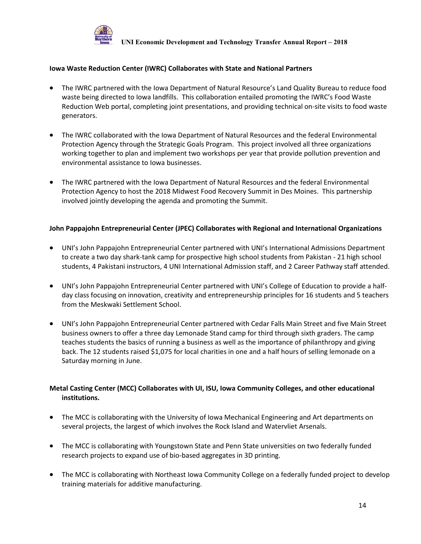

#### **Iowa Waste Reduction Center (IWRC) Collaborates with State and National Partners**

- The IWRC partnered with the Iowa Department of Natural Resource's Land Quality Bureau to reduce food waste being directed to Iowa landfills. This collaboration entailed promoting the IWRC's Food Waste Reduction Web portal, completing joint presentations, and providing technical on-site visits to food waste generators.
- The IWRC collaborated with the Iowa Department of Natural Resources and the federal Environmental Protection Agency through the Strategic Goals Program. This project involved all three organizations working together to plan and implement two workshops per year that provide pollution prevention and environmental assistance to Iowa businesses.
- The IWRC partnered with the Iowa Department of Natural Resources and the federal Environmental Protection Agency to host the 2018 Midwest Food Recovery Summit in Des Moines. This partnership involved jointly developing the agenda and promoting the Summit.

#### **John Pappajohn Entrepreneurial Center (JPEC) Collaborates with Regional and International Organizations**

- UNI's John Pappajohn Entrepreneurial Center partnered with UNI's International Admissions Department to create a two day shark-tank camp for prospective high school students from Pakistan - 21 high school students, 4 Pakistani instructors, 4 UNI International Admission staff, and 2 Career Pathway staff attended.
- UNI's John Pappajohn Entrepreneurial Center partnered with UNI's College of Education to provide a halfday class focusing on innovation, creativity and entrepreneurship principles for 16 students and 5 teachers from the Meskwaki Settlement School.
- UNI's John Pappajohn Entrepreneurial Center partnered with Cedar Falls Main Street and five Main Street business owners to offer a three day Lemonade Stand camp for third through sixth graders. The camp teaches students the basics of running a business as well as the importance of philanthropy and giving back. The 12 students raised \$1,075 for local charities in one and a half hours of selling lemonade on a Saturday morning in June.

#### **Metal Casting Center (MCC) Collaborates with UI, ISU, Iowa Community Colleges, and other educational institutions.**

- The MCC is collaborating with the University of Iowa Mechanical Engineering and Art departments on several projects, the largest of which involves the Rock Island and Watervliet Arsenals.
- The MCC is collaborating with Youngstown State and Penn State universities on two federally funded research projects to expand use of bio-based aggregates in 3D printing.
- The MCC is collaborating with Northeast Iowa Community College on a federally funded project to develop training materials for additive manufacturing.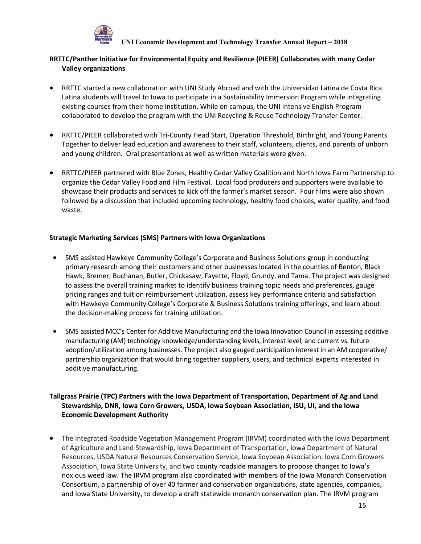

# **RRTTC/Panther Initiative for Environmental Equity and Resilience (PIEER) Collaborates with many Cedar Valley organizations**

- RRTTC started a new collaboration with UNI Study Abroad and with the Universidad Latina de Costa Rica. Latina students will travel to Iowa to participate in a Sustainability Immersion Program while integrating existing courses from their home institution. While on campus, the UNI Intensive English Program collaborated to develop the program with the UNI Recycling & Reuse Technology Transfer Center.
- RRTTC/PIEER collaborated with Tri-County Head Start, Operation Threshold, Birthright, and Young Parents Together to deliver lead education and awareness to their staff, volunteers, clients, and parents of unborn and young children. Oral presentations as well as written materials were given.
- RRTTC/PIEER partnered with Blue Zones, Healthy Cedar Valley Coalition and North Iowa Farm Partnership to organize the Cedar Valley Food and Film Festival. Local food producers and supporters were available to showcase their products and services to kick off the farmer's market season. Four films were also shown followed by a discussion that included upcoming technology, healthy food choices, water quality, and food waste.

### **Strategic Marketing Services (SMS) Partners with Iowa Organizations**

- SMS assisted Hawkeye Community College's Corporate and Business Solutions group in conducting primary research among their customers and other businesses located in the counties of Benton, Black Hawk, Bremer, Buchanan, Butler, Chickasaw, Fayette, Floyd, Grundy, and Tama. The project was designed to assess the overall training market to identify business training topic needs and preferences, gauge pricing ranges and tuition reimbursement utilization, assess key performance criteria and satisfaction with Hawkeye Community College's Corporate & Business Solutions training offerings, and learn about the decision-making process for training utilization.
- SMS assisted MCC's Center for Additive Manufacturing and the Iowa Innovation Council in assessing additive manufacturing (AM) technology knowledge/understanding levels, interest level, and current vs. future adoption/utilization among businesses. The project also gauged participation interest in an AM cooperative/ partnership organization that would bring together suppliers, users, and technical experts interested in additive manufacturing.

### **Tallgrass Prairie (TPC) Partners with the Iowa Department of Transportation, Department of Ag and Land Stewardship, DNR, Iowa Corn Growers, USDA, Iowa Soybean Association, ISU, UI, and the Iowa Economic Development Authority**

• The Integrated Roadside Vegetation Management Program (IRVM) coordinated with the Iowa Department of Agriculture and Land Stewardship, Iowa Department of Transportation, Iowa Department of Natural Resources, USDA Natural Resources Conservation Service, Iowa Soybean Association, Iowa Corn Growers Association, Iowa State University, and two county roadside managers to propose changes to Iowa's noxious weed law. The IRVM program also coordinated with members of the Iowa Monarch Conservation Consortium, a partnership of over 40 farmer and conservation organizations, state agencies, companies, and Iowa State University, to develop a draft statewide monarch conservation plan. The IRVM program